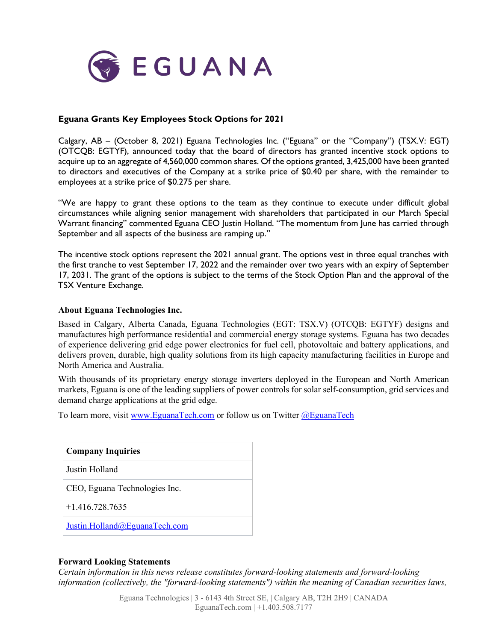

## **Eguana Grants Key Employees Stock Options for 2021**

Calgary, AB – (October 8, 2021) Eguana Technologies Inc. ("Eguana" or the "Company") (TSX.V: EGT) (OTCQB: EGTYF), announced today that the board of directors has granted incentive stock options to acquire up to an aggregate of 4,560,000 common shares. Of the options granted, 3,425,000 have been granted to directors and executives of the Company at a strike price of \$0.40 per share, with the remainder to employees at a strike price of \$0.275 per share.

"We are happy to grant these options to the team as they continue to execute under difficult global circumstances while aligning senior management with shareholders that participated in our March Special Warrant financing" commented Eguana CEO Justin Holland. "The momentum from June has carried through September and all aspects of the business are ramping up."

The incentive stock options represent the 2021 annual grant. The options vest in three equal tranches with the first tranche to vest September 17, 2022 and the remainder over two years with an expiry of September 17, 2031. The grant of the options is subject to the terms of the Stock Option Plan and the approval of the TSX Venture Exchange.

## **About Eguana Technologies Inc.**

Based in Calgary, Alberta Canada, Eguana Technologies (EGT: TSX.V) (OTCQB: EGTYF) designs and manufactures high performance residential and commercial energy storage systems. Eguana has two decades of experience delivering grid edge power electronics for fuel cell, photovoltaic and battery applications, and delivers proven, durable, high quality solutions from its high capacity manufacturing facilities in Europe and North America and Australia.

With thousands of its proprietary energy storage inverters deployed in the European and North American markets, Eguana is one of the leading suppliers of power controls for solar self-consumption, grid services and demand charge applications at the grid edge.

To learn more, visit [www.EguanaTech.com](http://www.eguanatech.com/) or follow us on Twitter [@EguanaTech](https://twitter.com/EguanaTech)

| <b>Company Inquiries</b>      |
|-------------------------------|
| Justin Holland                |
| CEO, Eguana Technologies Inc. |
| $+1.416.728.7635$             |
| Justin.Holland@EguanaTech.com |

## **Forward Looking Statements**

*Certain information in this news release constitutes forward-looking statements and forward-looking information (collectively, the "forward-looking statements") within the meaning of Canadian securities laws,*